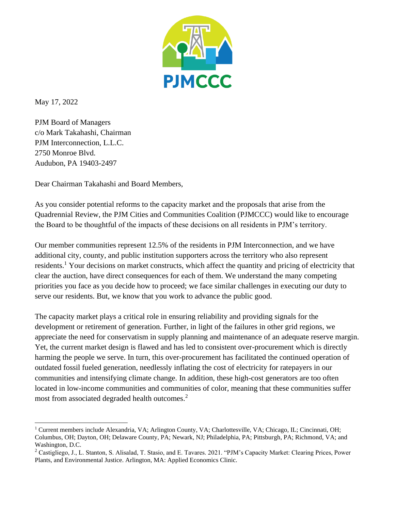

May 17, 2022

PJM Board of Managers c/o Mark Takahashi, Chairman PJM Interconnection, L.L.C. 2750 Monroe Blvd. Audubon, PA 19403-2497

Dear Chairman Takahashi and Board Members,

As you consider potential reforms to the capacity market and the proposals that arise from the Quadrennial Review, the PJM Cities and Communities Coalition (PJMCCC) would like to encourage the Board to be thoughtful of the impacts of these decisions on all residents in PJM's territory.

Our member communities represent 12.5% of the residents in PJM Interconnection, and we have additional city, county, and public institution supporters across the territory who also represent residents.<sup>1</sup> Your decisions on market constructs, which affect the quantity and pricing of electricity that clear the auction, have direct consequences for each of them. We understand the many competing priorities you face as you decide how to proceed; we face similar challenges in executing our duty to serve our residents. But, we know that you work to advance the public good.

The capacity market plays a critical role in ensuring reliability and providing signals for the development or retirement of generation. Further, in light of the failures in other grid regions, we appreciate the need for conservatism in supply planning and maintenance of an adequate reserve margin. Yet, the current market design is flawed and has led to consistent over-procurement which is directly harming the people we serve. In turn, this over-procurement has facilitated the continued operation of outdated fossil fueled generation, needlessly inflating the cost of electricity for ratepayers in our communities and intensifying climate change. In addition, these high-cost generators are too often located in low-income communities and communities of color, meaning that these communities suffer most from associated degraded health outcomes.<sup>2</sup>

<sup>&</sup>lt;sup>1</sup> Current members include Alexandria, VA; Arlington County, VA; Charlottesville, VA; Chicago, IL; Cincinnati, OH; Columbus, OH; Dayton, OH; Delaware County, PA; Newark, NJ; Philadelphia, PA; Pittsburgh, PA; Richmond, VA; and Washington, D.C.

<sup>2</sup> Castigliego, J., L. Stanton, S. Alisalad, T. Stasio, and E. Tavares. 2021. "PJM's Capacity Market: Clearing Prices, Power Plants, and Environmental Justice. Arlington, MA: Applied Economics Clinic.